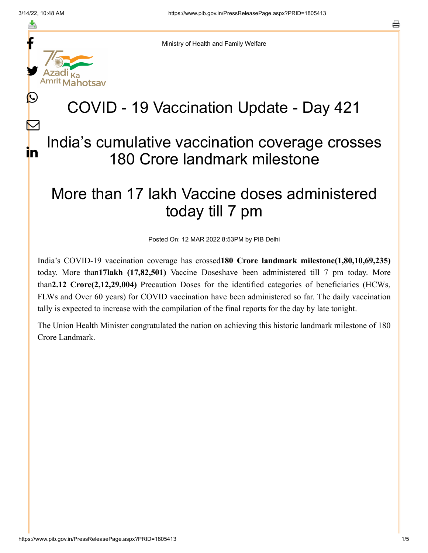f

≛

y.

 $\mathbf{\Omega}$ 

 $\bm{\nabla}$ 

in



## COVID - 19 Vaccination Update - Day 421

## India's cumulative vaccination coverage crosses 180 Crore landmark milestone

## More than 17 lakh Vaccine doses administered today till 7 pm

Posted On: 12 MAR 2022 8:53PM by PIB Delhi

India's COVID-19 vaccination coverage has crossed**180 Crore landmark milestone(1,80,10,69,235)** today. More than**17lakh (17,82,501)** Vaccine Doseshave been administered till 7 pm today. More than**2.12 Crore(2,12,29,004)** Precaution Doses for the identified categories of beneficiaries (HCWs, FLWs and Over 60 years) for COVID vaccination have been administered so far. The daily vaccination tally is expected to increase with the compilation of the final reports for the day by late tonight.

The Union Health Minister congratulated the nation on achieving this historic landmark milestone of 180 Crore Landmark.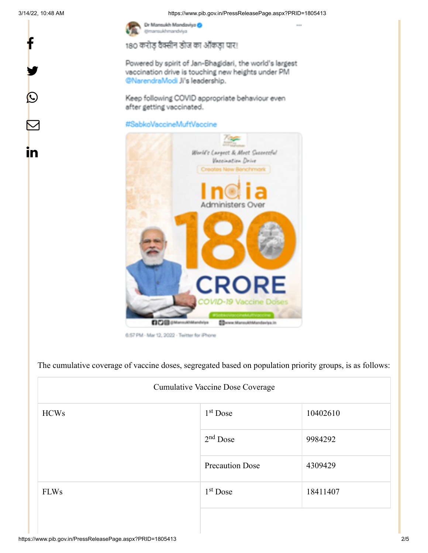f

y.

 $\circledcirc$ 

 $\bm{\nabla}$ 

<u>in</u>

3/14/22, 10:48 AM https://www.pib.gov.in/PressReleasePage.aspx?PRID=1805413



180 करोड़ वैक्सीन डोज का ऑकड़ा पार!

Powered by spirit of Jan-Bhagidari, the world's largest vaccination drive is touching new heights under PM @NarendraModi Ji's leadership.

Keep following COVID appropriate behaviour even after getting vaccinated.

## #SabkoVaccineMuftVaccine



6:57 PM - Mar 12, 2022 - Twitter for iPhone

The cumulative coverage of vaccine doses, segregated based on population priority groups, is as follows:

| Cumulative Vaccine Dose Coverage |                        |          |  |  |
|----------------------------------|------------------------|----------|--|--|
| <b>HCWs</b>                      | $1st$ Dose             | 10402610 |  |  |
|                                  | $2nd$ Dose             | 9984292  |  |  |
|                                  | <b>Precaution Dose</b> | 4309429  |  |  |
| <b>FLWs</b>                      | $1st$ Dose             | 18411407 |  |  |
|                                  |                        |          |  |  |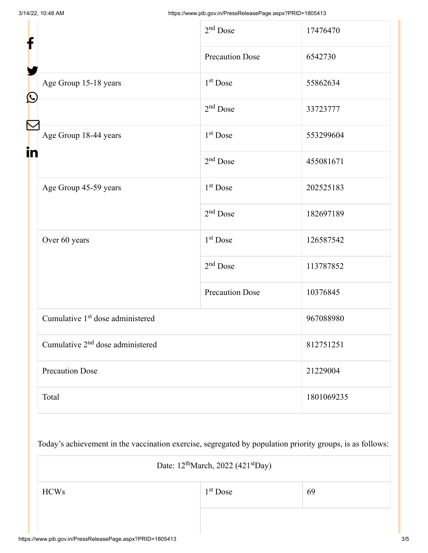| f<br>$\bf \Omega$ |                                              | $2nd$ Dose             | 17476470   |
|-------------------|----------------------------------------------|------------------------|------------|
|                   |                                              | <b>Precaution Dose</b> | 6542730    |
|                   | Age Group 15-18 years                        | 1 <sup>st</sup> Dose   | 55862634   |
|                   |                                              | $2nd$ Dose             | 33723777   |
| in                | Age Group 18-44 years                        | 1 <sup>st</sup> Dose   | 553299604  |
|                   |                                              | $2nd$ Dose             | 455081671  |
|                   | Age Group 45-59 years                        | 1 <sup>st</sup> Dose   | 202525183  |
|                   |                                              | $2nd$ Dose             | 182697189  |
|                   | Over 60 years                                | 1 <sup>st</sup> Dose   | 126587542  |
|                   |                                              | $2nd$ Dose             | 113787852  |
|                   |                                              | <b>Precaution Dose</b> | 10376845   |
|                   | Cumulative 1 <sup>st</sup> dose administered |                        | 967088980  |
|                   | Cumulative 2 <sup>nd</sup> dose administered |                        | 812751251  |
|                   | <b>Precaution Dose</b>                       |                        | 21229004   |
|                   | Total                                        |                        | 1801069235 |

Today's achievement in the vaccination exercise, segregated by population priority groups, is as follows:

| Date: $12^{\text{th}}$ March, 2022 (421 <sup>st</sup> Day) |                      |    |  |  |
|------------------------------------------------------------|----------------------|----|--|--|
| <b>HCWs</b>                                                | 1 <sup>st</sup> Dose | 69 |  |  |
|                                                            |                      |    |  |  |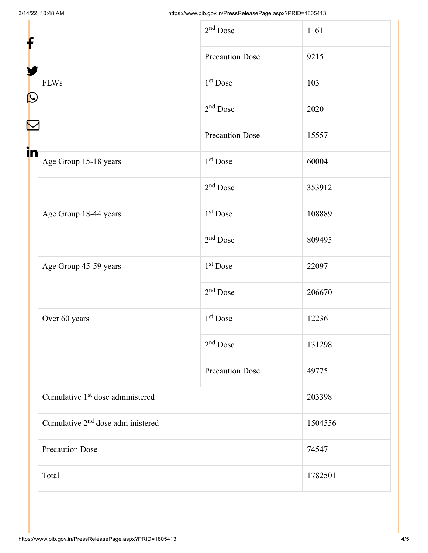| f                                             | $2nd$ Dose             | 1161    |
|-----------------------------------------------|------------------------|---------|
|                                               | <b>Precaution Dose</b> | 9215    |
| <b>FLWs</b><br>$\mathbf{\Omega}$              | 1 <sup>st</sup> Dose   | 103     |
|                                               | $2nd$ Dose             | 2020    |
|                                               | <b>Precaution Dose</b> | 15557   |
| in<br>Age Group 15-18 years                   | $1st$ Dose             | 60004   |
|                                               | $2nd$ Dose             | 353912  |
| Age Group 18-44 years                         | 1 <sup>st</sup> Dose   | 108889  |
|                                               | $2nd$ Dose             | 809495  |
| Age Group 45-59 years                         | $1st$ Dose             | 22097   |
|                                               | $2nd$ Dose             | 206670  |
| Over 60 years                                 | $1st$ Dose             | 12236   |
|                                               | $2nd$ Dose             | 131298  |
|                                               | <b>Precaution Dose</b> | 49775   |
| Cumulative 1 <sup>st</sup> dose administered  |                        | 203398  |
| Cumulative 2 <sup>nd</sup> dose adm inistered |                        | 1504556 |
| <b>Precaution Dose</b>                        |                        | 74547   |
| Total                                         |                        | 1782501 |